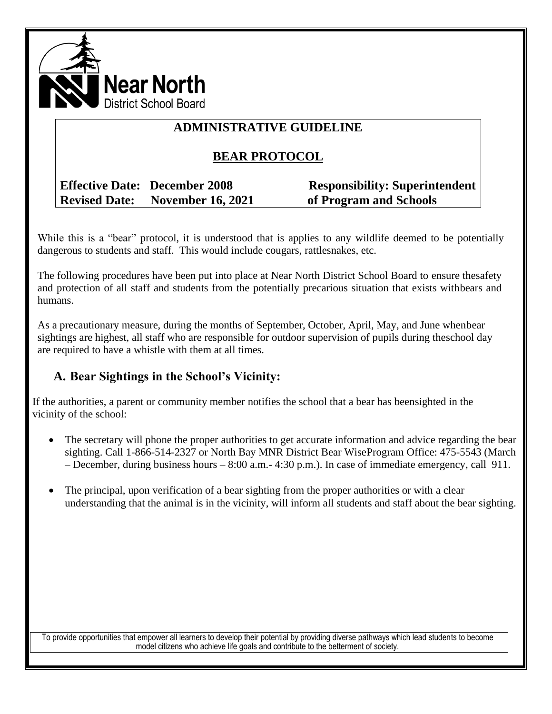

# **ADMINISTRATIVE GUIDELINE**

# **BEAR PROTOCOL**

## **Effective Date: December 2008 Responsibility: Superintendent Revised Date: November 16, 2021 of Program and Schools**

While this is a "bear" protocol, it is understood that is applies to any wildlife deemed to be potentially dangerous to students and staff. This would include cougars, rattlesnakes, etc.

The following procedures have been put into place at Near North District School Board to ensure thesafety and protection of all staff and students from the potentially precarious situation that exists withbears and humans.

As a precautionary measure, during the months of September, October, April, May, and June whenbear sightings are highest, all staff who are responsible for outdoor supervision of pupils during theschool day are required to have a whistle with them at all times.

## **A. Bear Sightings in the School's Vicinity:**

If the authorities, a parent or community member notifies the school that a bear has beensighted in the vicinity of the school:

- The secretary will phone the proper authorities to get accurate information and advice regarding the bear sighting. Call 1-866-514-2327 or North Bay MNR District Bear WiseProgram Office: 475-5543 (March – December, during business hours – 8:00 a.m.- 4:30 p.m.). In case of immediate emergency, call 911.
- The principal, upon verification of a bear sighting from the proper authorities or with a clear understanding that the animal is in the vicinity, will inform all students and staff about the bear sighting.

To provide opportunities that empower all learners to develop their potential by providing diverse pathways which lead students to become model citizens who achieve life goals and contribute to the betterment of society.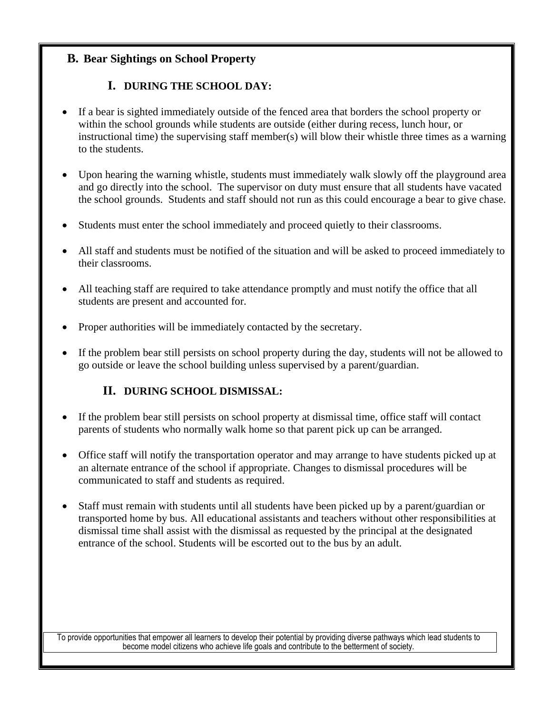## **B. Bear Sightings on School Property**

## **I. DURING THE SCHOOL DAY:**

- If a bear is sighted immediately outside of the fenced area that borders the school property or within the school grounds while students are outside (either during recess, lunch hour, or instructional time) the supervising staff member(s) will blow their whistle three times as a warning to the students.
- Upon hearing the warning whistle, students must immediately walk slowly off the playground area and go directly into the school. The supervisor on duty must ensure that all students have vacated the school grounds. Students and staff should not run as this could encourage a bear to give chase.
- Students must enter the school immediately and proceed quietly to their classrooms.
- All staff and students must be notified of the situation and will be asked to proceed immediately to their classrooms.
- All teaching staff are required to take attendance promptly and must notify the office that all students are present and accounted for.
- Proper authorities will be immediately contacted by the secretary.
- If the problem bear still persists on school property during the day, students will not be allowed to go outside or leave the school building unless supervised by a parent/guardian.

#### **II. DURING SCHOOL DISMISSAL:**

- If the problem bear still persists on school property at dismissal time, office staff will contact parents of students who normally walk home so that parent pick up can be arranged.
- Office staff will notify the transportation operator and may arrange to have students picked up at an alternate entrance of the school if appropriate. Changes to dismissal procedures will be communicated to staff and students as required.
- Staff must remain with students until all students have been picked up by a parent/guardian or transported home by bus. All educational assistants and teachers without other responsibilities at dismissal time shall assist with the dismissal as requested by the principal at the designated entrance of the school. Students will be escorted out to the bus by an adult.

To provide opportunities that empower all learners to develop their potential by providing diverse pathways which lead students to become model citizens who achieve life goals and contribute to the betterment of society.